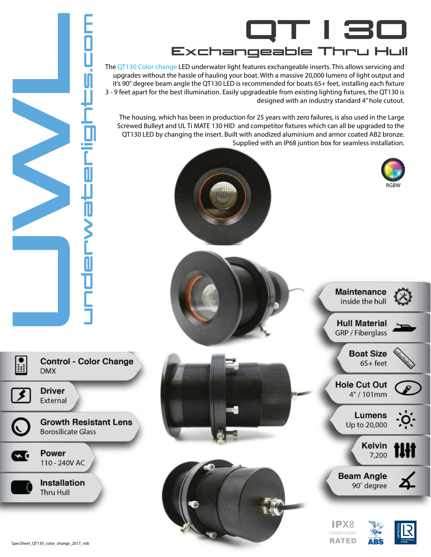

The QT130 Color change LED underwater light features exchangeable inserts. This allows servicing and upgrades without the hassle of hauling your boat. With a massive 20,000 lumens of light output and it's 90° degree beam angle the QT130 LED is recommended for boats 65+ feet, installing each fixture 3 - 9 feet apart for the best illumination. Easily upgradeable from existing lighting fixtures, the QT130 is designed with an industry standard 4" hole cutout.

The housing, which has been in production for 25 years with zero failures, is also used in the Large Screwed Bulleyt and UL Ti MATE 130 HID and competitor fixtures which can all be upgraded to the QT130 LED by changing the insert. Built with anodized aluminium and armor coated AB2 bronze. Supplied with an IP68 juntion box for seamless installation.







**Nights.c**